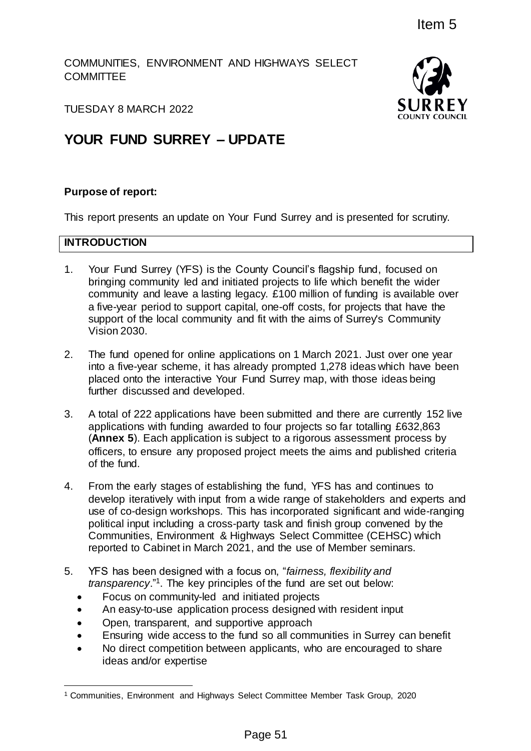COMMUNITIES, ENVIRONMENT AND HIGHWAYS SELECT **COMMITTEE** 



TUESDAY 8 MARCH 2022

# **YOUR FUND SURREY – UPDATE**

## **Purpose of report:**

This report presents an update on Your Fund Surrey and is presented for scrutiny.

## **INTRODUCTION**

l

- 1. Your Fund Surrey (YFS) is the County Council's flagship fund, focused on bringing community led and initiated projects to life which benefit the wider community and leave a lasting legacy. £100 million of funding is available over a five-year period to support capital, one-off costs, for projects that have the support of the local community and fit with the aims of Surrey's Community Vision 2030. Item 5<br>
D HIGHWAYS SELECT<br>
SURRE<br>
SURRE<br>
SURRE<br>
For Fund Surrey and is presented for scrutiny.<br>
PDATE<br>
In Fund Surrey and is presented for scrutiny.<br>
The model of the surrey and is presented for scrutiny.<br>
The model of the
- 2. The fund opened for online applications on 1 March 2021. Just over one year into a five-year scheme, it has already prompted 1,278 ideas which have been placed onto the interactive Your Fund Surrey map, with those ideas being further discussed and developed.
- 3. A total of 222 applications have been submitted and there are currently 152 live applications with funding awarded to four projects so far totalling £632,863 (**Annex 5**). Each application is subject to a rigorous assessment process by officers, to ensure any proposed project meets the aims and published criteria of the fund.
- 4. From the early stages of establishing the fund, YFS has and continues to develop iteratively with input from a wide range of stakeholders and experts and use of co-design workshops. This has incorporated significant and wide-ranging political input including a cross-party task and finish group convened by the Communities, Environment & Highways Select Committee (CEHSC) which reported to Cabinet in March 2021, and the use of Member seminars.
- 5. YFS has been designed with a focus on, "*fairness, flexibility and transparency*."<sup>1</sup> . The key principles of the fund are set out below:
	- Focus on community-led and initiated projects
	- An easy-to-use application process designed with resident input
	- Open, transparent, and supportive approach
	- Ensuring wide access to the fund so all communities in Surrey can benefit
	- No direct competition between applicants, who are encouraged to share ideas and/or expertise

<sup>1</sup> Communities, Environment and Highways Select Committee Member Task Group, 2020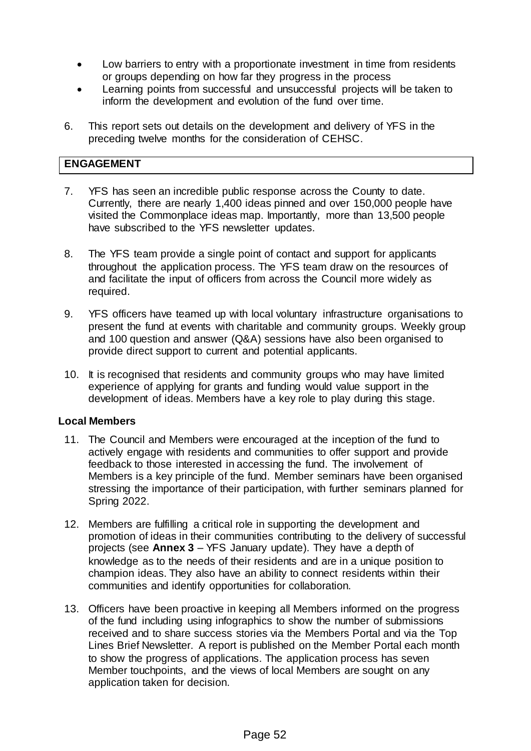- Low barriers to entry with a proportionate investment in time from residents or groups depending on how far they progress in the process
- Learning points from successful and unsuccessful projects will be taken to inform the development and evolution of the fund over time.
- 6. This report sets out details on the development and delivery of YFS in the preceding twelve months for the consideration of CEHSC.

## **ENGAGEMENT**

- 7. YFS has seen an incredible public response across the County to date. Currently, there are nearly 1,400 ideas pinned and over 150,000 people have visited the Commonplace ideas map. Importantly, more than 13,500 people have subscribed to the YFS newsletter updates.
- 8. The YFS team provide a single point of contact and support for applicants throughout the application process. The YFS team draw on the resources of and facilitate the input of officers from across the Council more widely as required.
- 9. YFS officers have teamed up with local voluntary infrastructure organisations to present the fund at events with charitable and community groups. Weekly group and 100 question and answer (Q&A) sessions have also been organised to provide direct support to current and potential applicants.
- 10. It is recognised that residents and community groups who may have limited experience of applying for grants and funding would value support in the development of ideas. Members have a key role to play during this stage.

### **Local Members**

- 11. The Council and Members were encouraged at the inception of the fund to actively engage with residents and communities to offer support and provide feedback to those interested in accessing the fund. The involvement of Members is a key principle of the fund. Member seminars have been organised stressing the importance of their participation, with further seminars planned for Spring 2022.
- 12. Members are fulfilling a critical role in supporting the development and promotion of ideas in their communities contributing to the delivery of successful projects (see **Annex 3** – YFS January update). They have a depth of knowledge as to the needs of their residents and are in a unique position to champion ideas. They also have an ability to connect residents within their communities and identify opportunities for collaboration.
- 13. Officers have been proactive in keeping all Members informed on the progress of the fund including using infographics to show the number of submissions received and to share success stories via the Members Portal and via the Top Lines Brief Newsletter. A report is published on the Member Portal each month to show the progress of applications. The application process has seven Member touchpoints, and the views of local Members are sought on any application taken for decision.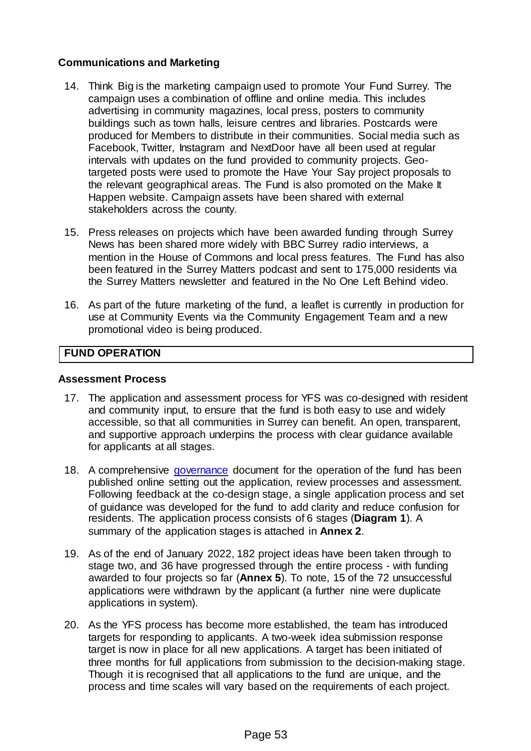## **Communications and Marketing**

- 14. Think Big is the marketing campaign used to promote Your Fund Surrey. The campaign uses a combination of offline and online media. This includes advertising in community magazines, local press, posters to community buildings such as town halls, leisure centres and libraries. Postcards were produced for Members to distribute in their communities. Social media such as Facebook, Twitter, Instagram and NextDoor have all been used at regular intervals with updates on the fund provided to community projects. Geotargeted posts were used to promote the Have Your Say project proposals to the relevant geographical areas. The Fund is also promoted on the Make It Happen website. Campaign assets have been shared with external stakeholders across the county.
- 15. Press releases on projects which have been awarded funding through Surrey News has been shared more widely with BBC Surrey radio interviews, a mention in the House of Commons and local press features. The Fund has also been featured in the Surrey Matters podcast and sent to 175,000 residents via the Surrey Matters newsletter and featured in the No One Left Behind video.
- 16. As part of the future marketing of the fund, a leaflet is currently in production for use at Community Events via the Community Engagement Team and a new promotional video is being produced.

## **FUND OPERATION**

#### **Assessment Process**

- 17. The application and assessment process for YFS was co-designed with resident and community input, to ensure that the fund is both easy to use and widely accessible, so that all communities in Surrey can benefit. An open, transparent, and supportive approach underpins the process with clear guidance available for applicants at all stages.
- 18. A comprehensive [governance](https://www.surreycc.gov.uk/__data/assets/pdf_file/0009/267237/Your-Fund-Surrey-Governance-v1.0-.pdf) document for the operation of the fund has been published online setting out the application, review processes and assessment. Following feedback at the co-design stage, a single application process and set of guidance was developed for the fund to add clarity and reduce confusion for residents. The application process consists of 6 stages (**Diagram 1**). A summary of the application stages is attached in **Annex 2**.
- 19. As of the end of January 2022, 182 project ideas have been taken through to stage two, and 36 have progressed through the entire process - with funding awarded to four projects so far (**Annex 5**). To note, 15 of the 72 unsuccessful applications were withdrawn by the applicant (a further nine were duplicate applications in system).
- 20. As the YFS process has become more established, the team has introduced targets for responding to applicants. A two-week idea submission response target is now in place for all new applications. A target has been initiated of three months for full applications from submission to the decision-making stage. Though it is recognised that all applications to the fund are unique, and the process and time scales will vary based on the requirements of each project.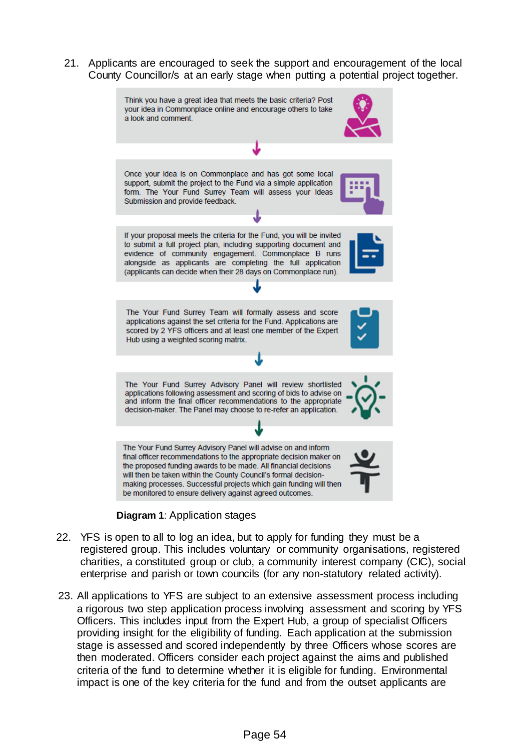21. Applicants are encouraged to seek the support and encouragement of the local County Councillor/s at an early stage when putting a potential project together.





- 22. YFS is open to all to log an idea, but to apply for funding they must be a registered group. This includes voluntary or community organisations, registered charities, a constituted group or club, a community interest company (CIC), social enterprise and parish or town councils (for any non-statutory related activity).
- 23. All applications to YFS are subject to an extensive assessment process including a rigorous two step application process involving assessment and scoring by YFS Officers. This includes input from the Expert Hub, a group of specialist Officers providing insight for the eligibility of funding. Each application at the submission stage is assessed and scored independently by three Officers whose scores are then moderated. Officers consider each project against the aims and published criteria of the fund to determine whether it is eligible for funding. Environmental impact is one of the key criteria for the fund and from the outset applicants are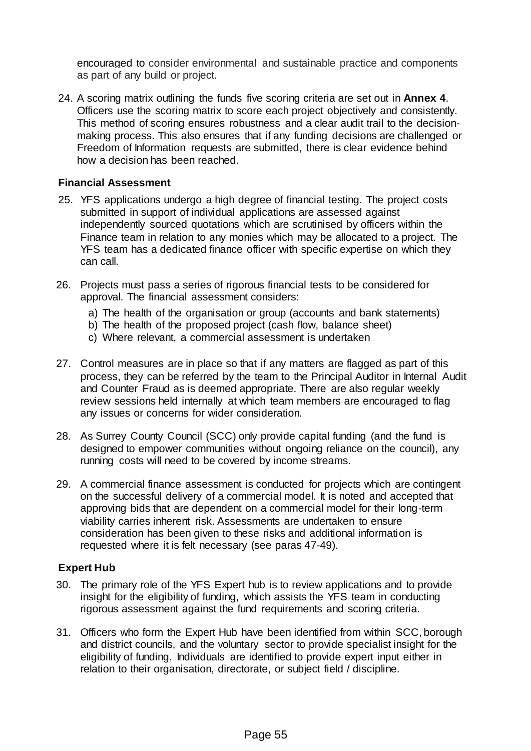encouraged to consider environmental and sustainable practice and components as part of any build or project.

24. A scoring matrix outlining the funds five scoring criteria are set out in **Annex 4**. Officers use the scoring matrix to score each project objectively and consistently. This method of scoring ensures robustness and a clear audit trail to the decisionmaking process. This also ensures that if any funding decisions are challenged or Freedom of Information requests are submitted, there is clear evidence behind how a decision has been reached.

### **Financial Assessment**

- 25. YFS applications undergo a high degree of financial testing. The project costs submitted in support of individual applications are assessed against independently sourced quotations which are scrutinised by officers within the Finance team in relation to any monies which may be allocated to a project. The YFS team has a dedicated finance officer with specific expertise on which they can call.
- 26. Projects must pass a series of rigorous financial tests to be considered for approval. The financial assessment considers:
	- a) The health of the organisation or group (accounts and bank statements)
	- b) The health of the proposed project (cash flow, balance sheet)
	- c) Where relevant, a commercial assessment is undertaken
- 27. Control measures are in place so that if any matters are flagged as part of this process, they can be referred by the team to the Principal Auditor in Internal Audit and Counter Fraud as is deemed appropriate. There are also regular weekly review sessions held internally at which team members are encouraged to flag any issues or concerns for wider consideration.
- 28. As Surrey County Council (SCC) only provide capital funding (and the fund is designed to empower communities without ongoing reliance on the council), any running costs will need to be covered by income streams.
- 29. A commercial finance assessment is conducted for projects which are contingent on the successful delivery of a commercial model. It is noted and accepted that approving bids that are dependent on a commercial model for their long-term viability carries inherent risk. Assessments are undertaken to ensure consideration has been given to these risks and additional information is requested where it is felt necessary (see paras 47-49).

#### **Expert Hub**

- 30. The primary role of the YFS Expert hub is to review applications and to provide insight for the eligibility of funding, which assists the YFS team in conducting rigorous assessment against the fund requirements and scoring criteria.
- 31. Officers who form the Expert Hub have been identified from within SCC, borough and district councils, and the voluntary sector to provide specialist insight for the eligibility of funding. Individuals are identified to provide expert input either in relation to their organisation, directorate, or subject field / discipline.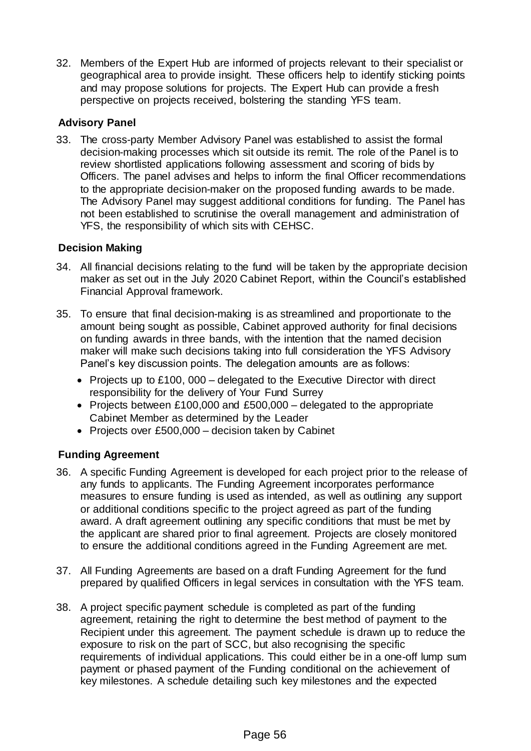32. Members of the Expert Hub are informed of projects relevant to their specialist or geographical area to provide insight. These officers help to identify sticking points and may propose solutions for projects. The Expert Hub can provide a fresh perspective on projects received, bolstering the standing YFS team.

## **Advisory Panel**

33. The cross-party Member Advisory Panel was established to assist the formal decision-making processes which sit outside its remit. The role of the Panel is to review shortlisted applications following assessment and scoring of bids by Officers. The panel advises and helps to inform the final Officer recommendations to the appropriate decision-maker on the proposed funding awards to be made. The Advisory Panel may suggest additional conditions for funding. The Panel has not been established to scrutinise the overall management and administration of YFS, the responsibility of which sits with CEHSC.

## **Decision Making**

- 34. All financial decisions relating to the fund will be taken by the appropriate decision maker as set out in the July 2020 Cabinet Report, within the Council's established Financial Approval framework.
- 35. To ensure that final decision-making is as streamlined and proportionate to the amount being sought as possible, Cabinet approved authority for final decisions on funding awards in three bands, with the intention that the named decision maker will make such decisions taking into full consideration the YFS Advisory Panel's key discussion points. The delegation amounts are as follows:
	- Projects up to £100, 000 delegated to the Executive Director with direct responsibility for the delivery of Your Fund Surrey
	- Projects between £100,000 and £500,000 delegated to the appropriate Cabinet Member as determined by the Leader
	- Projects over £500,000 decision taken by Cabinet

## **Funding Agreement**

- 36. A specific Funding Agreement is developed for each project prior to the release of any funds to applicants. The Funding Agreement incorporates performance measures to ensure funding is used as intended, as well as outlining any support or additional conditions specific to the project agreed as part of the funding award. A draft agreement outlining any specific conditions that must be met by the applicant are shared prior to final agreement. Projects are closely monitored to ensure the additional conditions agreed in the Funding Agreement are met.
- 37. All Funding Agreements are based on a draft Funding Agreement for the fund prepared by qualified Officers in legal services in consultation with the YFS team.
- 38. A project specific payment schedule is completed as part of the funding agreement, retaining the right to determine the best method of payment to the Recipient under this agreement. The payment schedule is drawn up to reduce the exposure to risk on the part of SCC, but also recognising the specific requirements of individual applications. This could either be in a one-off lump sum payment or phased payment of the Funding conditional on the achievement of key milestones. A schedule detailing such key milestones and the expected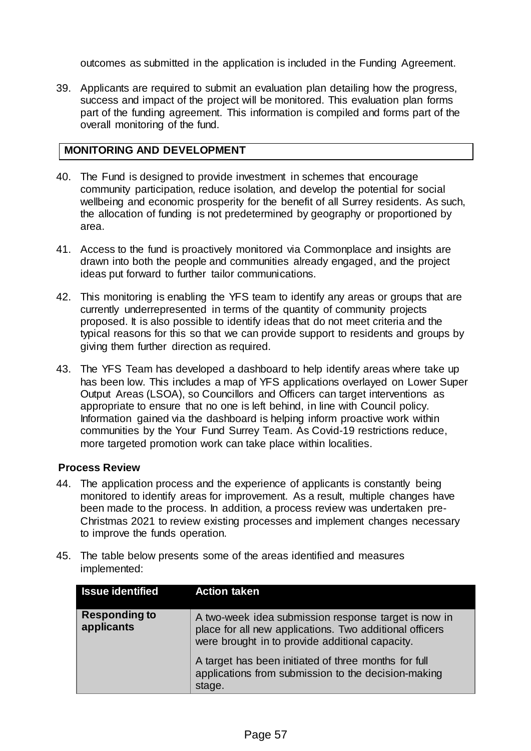outcomes as submitted in the application is included in the Funding Agreement.

39. Applicants are required to submit an evaluation plan detailing how the progress, success and impact of the project will be monitored. This evaluation plan forms part of the funding agreement. This information is compiled and forms part of the overall monitoring of the fund.

## **MONITORING AND DEVELOPMENT**

- 40. The Fund is designed to provide investment in schemes that encourage community participation, reduce isolation, and develop the potential for social wellbeing and economic prosperity for the benefit of all Surrey residents. As such, the allocation of funding is not predetermined by geography or proportioned by area.
- 41. Access to the fund is proactively monitored via Commonplace and insights are drawn into both the people and communities already engaged, and the project ideas put forward to further tailor communications.
- 42. This monitoring is enabling the YFS team to identify any areas or groups that are currently underrepresented in terms of the quantity of community projects proposed. It is also possible to identify ideas that do not meet criteria and the typical reasons for this so that we can provide support to residents and groups by giving them further direction as required.
- 43. The YFS Team has developed a dashboard to help identify areas where take up has been low. This includes a map of YFS applications overlayed on Lower Super Output Areas (LSOA), so Councillors and Officers can target interventions as appropriate to ensure that no one is left behind, in line with Council policy. Information gained via the dashboard is helping inform proactive work within communities by the Your Fund Surrey Team. As Covid-19 restrictions reduce, more targeted promotion work can take place within localities.

### **Process Review**

- 44. The application process and the experience of applicants is constantly being monitored to identify areas for improvement. As a result, multiple changes have been made to the process. In addition, a process review was undertaken pre-Christmas 2021 to review existing processes and implement changes necessary to improve the funds operation.
- 45. The table below presents some of the areas identified and measures implemented:

| <b>Issue identified</b>            | <b>Action taken</b>                                                                                                                                                |
|------------------------------------|--------------------------------------------------------------------------------------------------------------------------------------------------------------------|
| <b>Responding to</b><br>applicants | A two-week idea submission response target is now in<br>place for all new applications. Two additional officers<br>were brought in to provide additional capacity. |
|                                    | A target has been initiated of three months for full<br>applications from submission to the decision-making<br>stage.                                              |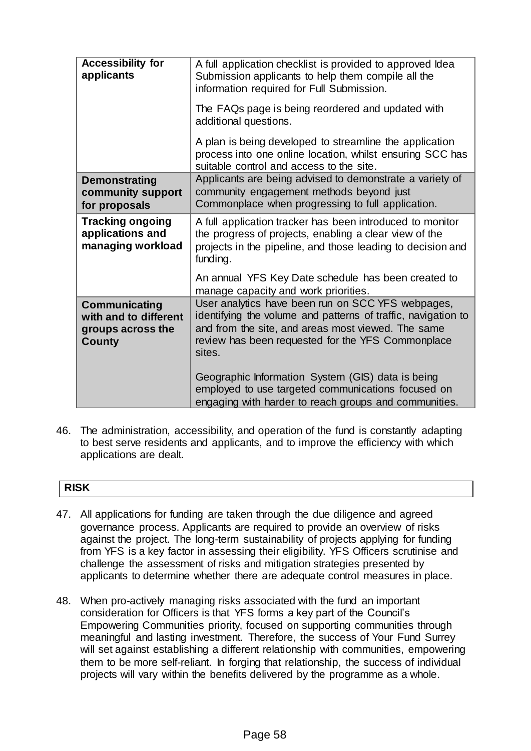| <b>Accessibility for</b><br>applicants                                              | A full application checklist is provided to approved Idea<br>Submission applicants to help them compile all the<br>information required for Full Submission.                                                                            |
|-------------------------------------------------------------------------------------|-----------------------------------------------------------------------------------------------------------------------------------------------------------------------------------------------------------------------------------------|
|                                                                                     | The FAQs page is being reordered and updated with<br>additional questions.                                                                                                                                                              |
|                                                                                     | A plan is being developed to streamline the application<br>process into one online location, whilst ensuring SCC has<br>suitable control and access to the site.                                                                        |
| <b>Demonstrating</b><br>community support<br>for proposals                          | Applicants are being advised to demonstrate a variety of<br>community engagement methods beyond just<br>Commonplace when progressing to full application.                                                                               |
| <b>Tracking ongoing</b><br>applications and<br>managing workload                    | A full application tracker has been introduced to monitor<br>the progress of projects, enabling a clear view of the<br>projects in the pipeline, and those leading to decision and<br>funding.                                          |
|                                                                                     | An annual YFS Key Date schedule has been created to<br>manage capacity and work priorities.                                                                                                                                             |
| <b>Communicating</b><br>with and to different<br>groups across the<br><b>County</b> | User analytics have been run on SCC YFS webpages,<br>identifying the volume and patterns of traffic, navigation to<br>and from the site, and areas most viewed. The same<br>review has been requested for the YFS Commonplace<br>sites. |
|                                                                                     | Geographic Information System (GIS) data is being<br>employed to use targeted communications focused on<br>engaging with harder to reach groups and communities.                                                                        |

46. The administration, accessibility, and operation of the fund is constantly adapting to best serve residents and applicants, and to improve the efficiency with which applications are dealt.

# **RISK**

- 47. All applications for funding are taken through the due diligence and agreed governance process. Applicants are required to provide an overview of risks against the project. The long-term sustainability of projects applying for funding from YFS is a key factor in assessing their eligibility. YFS Officers scrutinise and challenge the assessment of risks and mitigation strategies presented by applicants to determine whether there are adequate control measures in place.
- 48. When pro-actively managing risks associated with the fund an important consideration for Officers is that YFS forms a key part of the Council's Empowering Communities priority, focused on supporting communities through meaningful and lasting investment. Therefore, the success of Your Fund Surrey will set against establishing a different relationship with communities, empowering them to be more self-reliant. In forging that relationship, the success of individual projects will vary within the benefits delivered by the programme as a whole.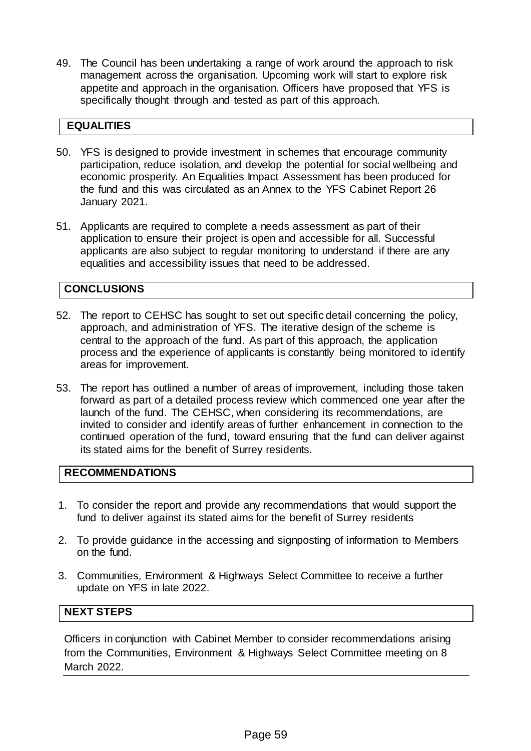49. The Council has been undertaking a range of work around the approach to risk management across the organisation. Upcoming work will start to explore risk appetite and approach in the organisation. Officers have proposed that YFS is specifically thought through and tested as part of this approach.

## **EQUALITIES**

- 50. YFS is designed to provide investment in schemes that encourage community participation, reduce isolation, and develop the potential for social wellbeing and economic prosperity. An Equalities Impact Assessment has been produced for the fund and this was circulated as an Annex to the YFS Cabinet Report 26 January 2021.
- 51. Applicants are required to complete a needs assessment as part of their application to ensure their project is open and accessible for all. Successful applicants are also subject to regular monitoring to understand if there are any equalities and accessibility issues that need to be addressed.

## **CONCLUSIONS**

- 52. The report to CEHSC has sought to set out specific detail concerning the policy, approach, and administration of YFS. The iterative design of the scheme is central to the approach of the fund. As part of this approach, the application process and the experience of applicants is constantly being monitored to identify areas for improvement.
- 53. The report has outlined a number of areas of improvement, including those taken forward as part of a detailed process review which commenced one year after the launch of the fund. The CEHSC, when considering its recommendations, are invited to consider and identify areas of further enhancement in connection to the continued operation of the fund, toward ensuring that the fund can deliver against its stated aims for the benefit of Surrey residents.

### **RECOMMENDATIONS**

- 1. To consider the report and provide any recommendations that would support the fund to deliver against its stated aims for the benefit of Surrey residents
- 2. To provide guidance in the accessing and signposting of information to Members on the fund.
- 3. Communities, Environment & Highways Select Committee to receive a further update on YFS in late 2022.

## **NEXT STEPS**

Officers in conjunction with Cabinet Member to consider recommendations arising from the Communities, Environment & Highways Select Committee meeting on 8 March 2022.